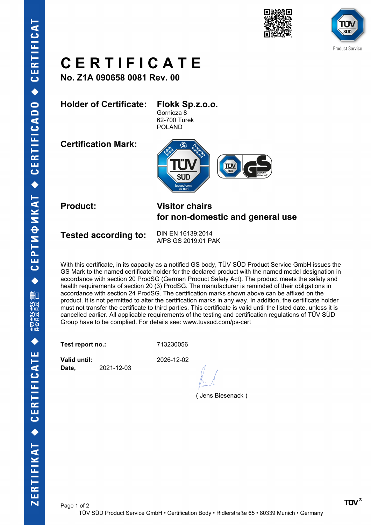





# **C E R T I F I C A T E**

**No. Z1A 090658 0081 Rev. 00**

### **Holder of Certificate: Flokk Sp.z.o.o.**

Gornicza 8 62-700 Turek POLAND

**Certification Mark:**



#### **Product: Visitor chairs for non-domestic and general use**

Tested according to: DIN EN 16139:2014

AfPS GS 2019:01 PAK

With this certificate, in its capacity as a notified GS body, TÜV SÜD Product Service GmbH issues the GS Mark to the named certificate holder for the declared product with the named model designation in accordance with section 20 ProdSG (German Product Safety Act). The product meets the safety and health requirements of section 20 (3) ProdSG. The manufacturer is reminded of their obligations in accordance with section 24 ProdSG. The certification marks shown above can be affixed on the product. It is not permitted to alter the certification marks in any way. In addition, the certificate holder must not transfer the certificate to third parties. This certificate is valid until the listed date, unless it is cancelled earlier. All applicable requirements of the testing and certification regulations of TÜV SÜD Group have to be complied. For details see: www.tuvsud.com/ps-cert

**Test report no.:** 713230056

**Valid until:** 2026-12-02 **Date,** 2021-12-03

( Jens Biesenack )